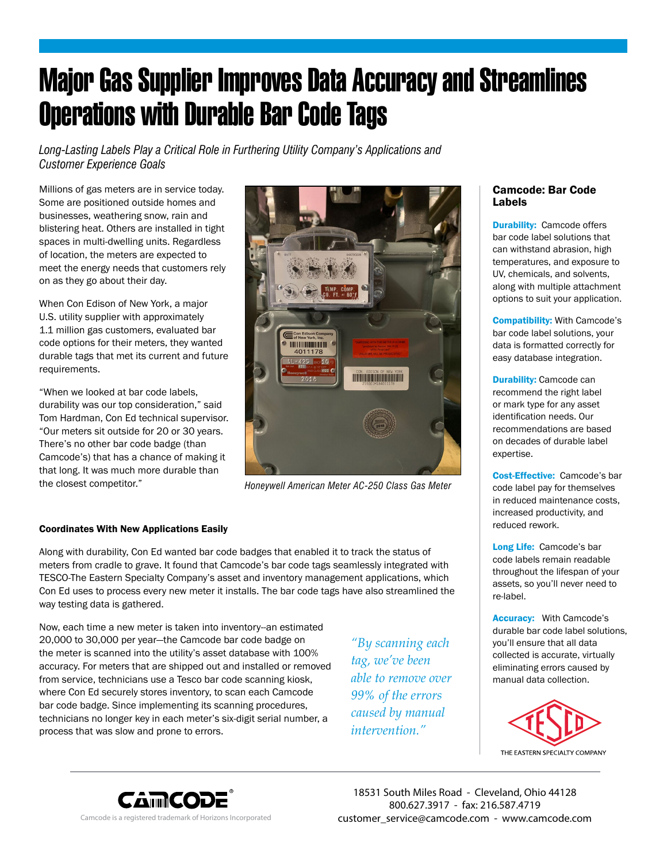## Major Gas Supplier Improves Data Accuracy and Streamlines Operations with Durable Bar Code Tags

*Long-Lasting Labels Play a Critical Role in Furthering Utility Company's Applications and Customer Experience Goals*

Millions of gas meters are in service today. Some are positioned outside homes and businesses, weathering snow, rain and blistering heat. Others are installed in tight spaces in multi-dwelling units. Regardless of location, the meters are expected to meet the energy needs that customers rely on as they go about their day.

When Con Edison of New York, a major U.S. utility supplier with approximately 1.1 million gas customers, evaluated bar code options for their meters, they wanted durable tags that met its current and future requirements.

"When we looked at bar code labels, durability was our top consideration," said Tom Hardman, Con Ed technical supervisor. "Our meters sit outside for 20 or 30 years. There's no other bar code badge (than Camcode's) that has a chance of making it that long. It was much more durable than the closest competitor."



*Honeywell American Meter AC-250 Class Gas Meter*

## Coordinates With New Applications Easily

Along with durability, Con Ed wanted bar code badges that enabled it to track the status of meters from cradle to grave. It found that Camcode's bar code tags seamlessly integrated with TESCO-The Eastern Specialty Company's asset and inventory management applications, which Con Ed uses to process every new meter it installs. The bar code tags have also streamlined the way testing data is gathered.

Now, each time a new meter is taken into inventory--an estimated 20,000 to 30,000 per year—the Camcode bar code badge on the meter is scanned into the utility's asset database with 100% accuracy. For meters that are shipped out and installed or removed from service, technicians use a Tesco bar code scanning kiosk, where Con Ed securely stores inventory, to scan each Camcode bar code badge. Since implementing its scanning procedures, technicians no longer key in each meter's six-digit serial number, a process that was slow and prone to errors.

*"By scanning each tag, we've been able to remove over 99% of the errors caused by manual intervention."*

## Camcode: Bar Code Labels

**Durability:** Camcode offers bar code label solutions that can withstand abrasion, high temperatures, and exposure to UV, chemicals, and solvents, along with multiple attachment options to suit your application.

Compatibility: With Camcode's bar code label solutions, your data is formatted correctly for easy database integration.

**Durability: Camcode can** recommend the right label or mark type for any asset identification needs. Our recommendations are based on decades of durable label expertise.

Cost-Effective: Camcode's bar code label pay for themselves in reduced maintenance costs, increased productivity, and reduced rework.

Long Life: Camcode's bar code labels remain readable throughout the lifespan of your assets, so you'll never need to re-label.

Accuracy: With Camcode's durable bar code label solutions, you'll ensure that all data collected is accurate, virtually eliminating errors caused by manual data collection.





18531 South Miles Road - Cleveland, Ohio 44128 800.627.3917 - fax: 216.587.4719 Camcode is a registered trademark of Horizons Incorporated customer service@camcode.com - www.camcode.com